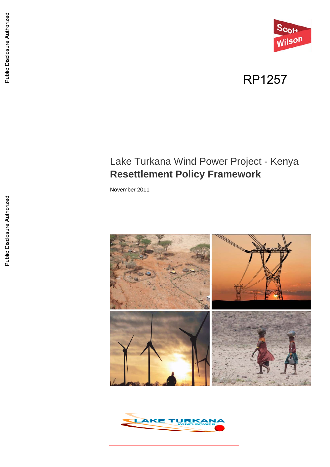

# RP1257

# Lake Turkana Wind Power Project - Kenya **Resettlement Policy Framework**

November 2011



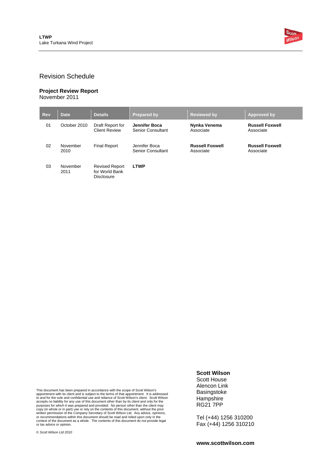

#### Revision Schedule

#### **Project Review Report**  November 2011

| <b>Rev</b> | <b>Date</b>      | <b>Details</b>                                        | <b>Prepared by</b>                        | <b>Reviewed by</b>                  | Approved by                         |
|------------|------------------|-------------------------------------------------------|-------------------------------------------|-------------------------------------|-------------------------------------|
| 01         | October 2010     | Draft Report for<br><b>Client Review</b>              | Jennifer Boca<br><b>Senior Consultant</b> | Nynka Venema<br>Associate           | <b>Russell Foxwell</b><br>Associate |
| 02         | November<br>2010 | <b>Final Report</b>                                   | Jennifer Boca<br>Senior Consultant        | <b>Russell Foxwell</b><br>Associate | <b>Russell Foxwell</b><br>Associate |
| 03         | November<br>2011 | <b>Revised Report</b><br>for World Bank<br>Disclosure | <b>LTWP</b>                               |                                     |                                     |

This document has been prepared in accordance with the scope of Scott Wilson's appointment with its client and is subject to the terms of that appointment. It is addressed to and for the sole and confidential use and reliance of Scott Wilson's client. Scott Wilson<br>accepts no liability for any use of this document other than by its client and only for the<br>purposes for which it was prepared an

© *Scott Wilson Ltd 2010* 

**Scott Wilson**  Scott House

Alencon Link Basingstoke Hampshire RG21 7PP

Tel (+44) 1256 310200 Fax (+44) 1256 310210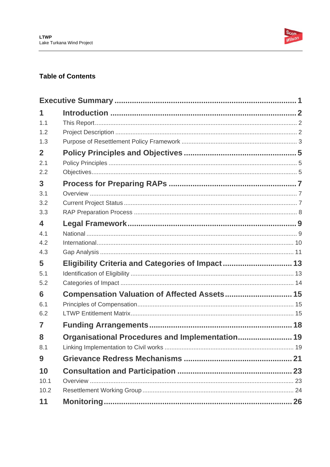

### **Table of Contents**

| 1                       |                                                  |  |
|-------------------------|--------------------------------------------------|--|
| 1.1                     |                                                  |  |
| 1.2                     |                                                  |  |
| 1.3                     |                                                  |  |
| $\overline{2}$          |                                                  |  |
| 2.1                     |                                                  |  |
| 2.2                     |                                                  |  |
| 3                       |                                                  |  |
| 3.1                     |                                                  |  |
| 3.2                     |                                                  |  |
| 3.3                     |                                                  |  |
| $\overline{\mathbf{A}}$ |                                                  |  |
| 4.1                     |                                                  |  |
| 4.2                     |                                                  |  |
| 4.3                     |                                                  |  |
| 5                       | Eligibility Criteria and Categories of Impact 13 |  |
| 5.1                     |                                                  |  |
| 5.2                     |                                                  |  |
| 6                       | Compensation Valuation of Affected Assets 15     |  |
| 6.1                     |                                                  |  |
| 6.2                     |                                                  |  |
| 7                       |                                                  |  |
| 8                       | Organisational Procedures and Implementation 19  |  |
| 8.1                     |                                                  |  |
| 9                       |                                                  |  |
| 10                      |                                                  |  |
| 10.1                    |                                                  |  |
| 10.2                    |                                                  |  |
| 11                      |                                                  |  |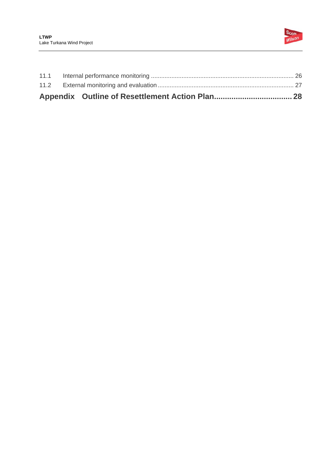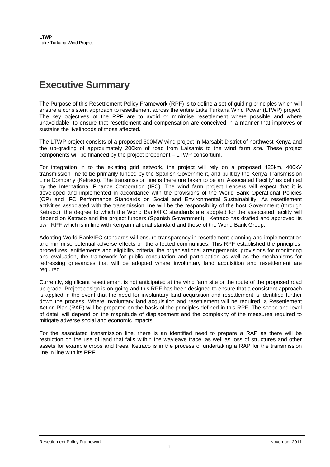# **Executive Summary**

The Purpose of this Resettlement Policy Framework (RPF) is to define a set of guiding principles which will ensure a consistent approach to resettlement across the entire Lake Turkana Wind Power (LTWP) project. The key objectives of the RPF are to avoid or minimise resettlement where possible and where unavoidable, to ensure that resettlement and compensation are conceived in a manner that improves or sustains the livelihoods of those affected.

The LTWP project consists of a proposed 300MW wind project in Marsabit District of northwest Kenya and the up-grading of approximately 200km of road from Laisamis to the wind farm site. These project components will be financed by the project proponent – LTWP consortium.

For integration in to the existing grid network, the project will rely on a proposed 428km, 400kV transmission line to be primarily funded by the Spanish Government, and built by the Kenya Transmission Line Company (Ketraco). The transmission line is therefore taken to be an 'Associated Facility' as defined by the International Finance Corporation (IFC). The wind farm project Lenders will expect that it is developed and implemented in accordance with the provisions of the World Bank Operational Policies (OP) and IFC Performance Standards on Social and Environmental Sustainability. As resettlement activities associated with the transmission line will be the responsibility of the host Government (through Ketraco), the degree to which the World Bank/IFC standards are adopted for the associated facility will depend on Ketraco and the project funders (Spanish Government). Ketraco has drafted and approved its own RPF which is in line with Kenyan national standard and those of the World Bank Group.

Adopting World Bank/IFC standards will ensure transparency in resettlement planning and implementation and minimise potential adverse effects on the affected communities. This RPF established the principles, procedures, entitlements and eligibility criteria, the organisational arrangements, provisions for monitoring and evaluation, the framework for public consultation and participation as well as the mechanisms for redressing grievances that will be adopted where involuntary land acquisition and resettlement are required.

Currently, significant resettlement is not anticipated at the wind farm site or the route of the proposed road up-grade. Project design is on-going and this RPF has been designed to ensure that a consistent approach is applied in the event that the need for involuntary land acquisition and resettlement is identified further down the process. Where involuntary land acquisition and resettlement will be required, a Resettlement Action Plan (RAP) will be prepared on the basis of the principles defined in this RPF. The scope and level of detail will depend on the magnitude of displacement and the complexity of the measures required to mitigate adverse social and economic impacts.

For the associated transmission line, there is an identified need to prepare a RAP as there will be restriction on the use of land that falls within the wayleave trace, as well as loss of structures and other assets for example crops and trees. Ketraco is in the process of undertaking a RAP for the transmission line in line with its RPF.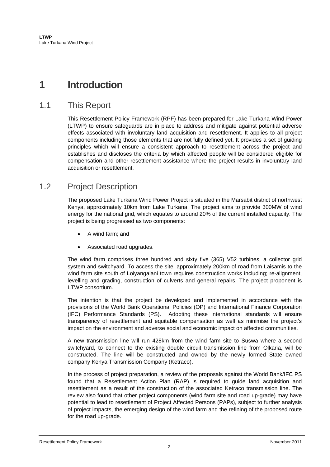## **1 Introduction**

### 1.1 This Report

This Resettlement Policy Framework (RPF) has been prepared for Lake Turkana Wind Power (LTWP) to ensure safeguards are in place to address and mitigate against potential adverse effects associated with involuntary land acquisition and resettlement. It applies to all project components including those elements that are not fully defined yet. It provides a set of guiding principles which will ensure a consistent approach to resettlement across the project and establishes and discloses the criteria by which affected people will be considered eligible for compensation and other resettlement assistance where the project results in involuntary land acquisition or resettlement.

### 1.2 Project Description

The proposed Lake Turkana Wind Power Project is situated in the Marsabit district of northwest Kenya, approximately 10km from Lake Turkana. The project aims to provide 300MW of wind energy for the national grid, which equates to around 20% of the current installed capacity. The project is being progressed as two components:

- A wind farm; and
- Associated road upgrades.

The wind farm comprises three hundred and sixty five (365) V52 turbines, a collector grid system and switchyard. To access the site, approximately 200km of road from Laisamis to the wind farm site south of Loiyangalani town requires construction works including; re-alignment, levelling and grading, construction of culverts and general repairs. The project proponent is LTWP consortium.

The intention is that the project be developed and implemented in accordance with the provisions of the World Bank Operational Policies (OP) and International Finance Corporation (IFC) Performance Standards (PS). Adopting these international standards will ensure transparency of resettlement and equitable compensation as well as minimise the project's impact on the environment and adverse social and economic impact on affected communities.

A new transmission line will run 428km from the wind farm site to Suswa where a second switchyard, to connect to the existing double circuit transmission line from Olkaria, will be constructed. The line will be constructed and owned by the newly formed State owned company Kenya Transmission Company (Ketraco).

In the process of project preparation, a review of the proposals against the World Bank/IFC PS found that a Resettlement Action Plan (RAP) is required to guide land acquisition and resettlement as a result of the construction of the associated Ketraco transmission line. The review also found that other project components (wind farm site and road up-grade) may have potential to lead to resettlement of Project Affected Persons (PAPs), subject to further analysis of project impacts, the emerging design of the wind farm and the refining of the proposed route for the road up-grade.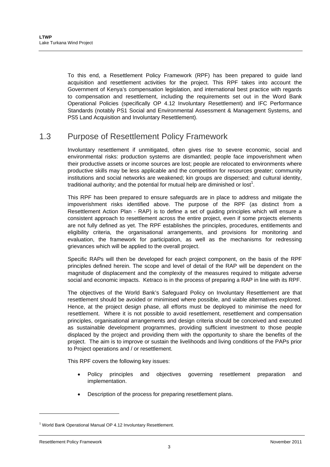To this end, a Resettlement Policy Framework (RPF) has been prepared to guide land acquisition and resettlement activities for the project. This RPF takes into account the Government of Kenya's compensation legislation, and international best practice with regards to compensation and resettlement, including the requirements set out in the Word Bank Operational Policies (specifically OP 4.12 Involuntary Resettlement) and IFC Performance Standards (notably PS1 Social and Environmental Assessment & Management Systems, and PS5 Land Acquisition and Involuntary Resettlement).

## 1.3 Purpose of Resettlement Policy Framework

Involuntary resettlement if unmitigated, often gives rise to severe economic, social and environmental risks: production systems are dismantled; people face impoverishment when their productive assets or income sources are lost; people are relocated to environments where productive skills may be less applicable and the competition for resources greater; community institutions and social networks are weakened; kin groups are dispersed; and cultural identity, traditional authority; and the potential for mutual help are diminished or lost<sup>1</sup>.

This RPF has been prepared to ensure safeguards are in place to address and mitigate the impoverishment risks identified above. The purpose of the RPF (as distinct from a Resettlement Action Plan - RAP) is to define a set of guiding principles which will ensure a consistent approach to resettlement across the entire project, even if some projects elements are not fully defined as yet. The RPF establishes the principles, procedures, entitlements and eligibility criteria, the organisational arrangements, and provisions for monitoring and evaluation, the framework for participation, as well as the mechanisms for redressing grievances which will be applied to the overall project.

Specific RAPs will then be developed for each project component, on the basis of the RPF principles defined herein. The scope and level of detail of the RAP will be dependent on the magnitude of displacement and the complexity of the measures required to mitigate adverse social and economic impacts. Ketraco is in the process of preparing a RAP in line with its RPF.

The objectives of the World Bank's Safeguard Policy on Involuntary Resettlement are that resettlement should be avoided or minimised where possible, and viable alternatives explored. Hence, at the project design phase, all efforts must be deployed to minimise the need for resettlement. Where it is not possible to avoid resettlement, resettlement and compensation principles, organisational arrangements and design criteria should be conceived and executed as sustainable development programmes, providing sufficient investment to those people displaced by the project and providing them with the opportunity to share the benefits of the project. The aim is to improve or sustain the livelihoods and living conditions of the PAPs prior to Project operations and / or resettlement.

This RPF covers the following key issues:

- Policy principles and objectives governing resettlement preparation and implementation.
- Description of the process for preparing resettlement plans.

l

<sup>&</sup>lt;sup>1</sup> World Bank Operational Manual OP 4.12 Involuntary Resettlement.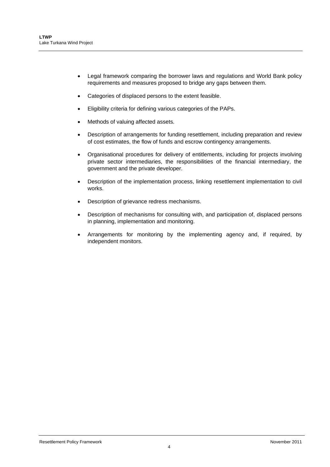- Legal framework comparing the borrower laws and regulations and World Bank policy requirements and measures proposed to bridge any gaps between them.
- Categories of displaced persons to the extent feasible.
- Eligibility criteria for defining various categories of the PAPs.
- Methods of valuing affected assets.
- Description of arrangements for funding resettlement, including preparation and review of cost estimates, the flow of funds and escrow contingency arrangements.
- Organisational procedures for delivery of entitlements, including for projects involving private sector intermediaries, the responsibilities of the financial intermediary, the government and the private developer.
- Description of the implementation process, linking resettlement implementation to civil works.
- Description of grievance redress mechanisms.
- Description of mechanisms for consulting with, and participation of, displaced persons in planning, implementation and monitoring.
- Arrangements for monitoring by the implementing agency and, if required, by independent monitors.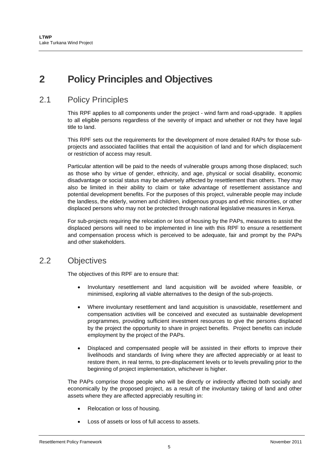# **2 Policy Principles and Objectives**

## 2.1 Policy Principles

This RPF applies to all components under the project - wind farm and road-upgrade. It applies to all eligible persons regardless of the severity of impact and whether or not they have legal title to land.

This RPF sets out the requirements for the development of more detailed RAPs for those subprojects and associated facilities that entail the acquisition of land and for which displacement or restriction of access may result.

Particular attention will be paid to the needs of vulnerable groups among those displaced; such as those who by virtue of gender, ethnicity, and age, physical or social disability, economic disadvantage or social status may be adversely affected by resettlement than others. They may also be limited in their ability to claim or take advantage of resettlement assistance and potential development benefits. For the purposes of this project, vulnerable people may include the landless, the elderly, women and children, indigenous groups and ethnic minorities, or other displaced persons who may not be protected through national legislative measures in Kenya.

For sub-projects requiring the relocation or loss of housing by the PAPs, measures to assist the displaced persons will need to be implemented in line with this RPF to ensure a resettlement and compensation process which is perceived to be adequate, fair and prompt by the PAPs and other stakeholders.

### 2.2 Objectives

The objectives of this RPF are to ensure that:

- Involuntary resettlement and land acquisition will be avoided where feasible, or minimised, exploring all viable alternatives to the design of the sub-projects.
- Where involuntary resettlement and land acquisition is unavoidable, resettlement and compensation activities will be conceived and executed as sustainable development programmes, providing sufficient investment resources to give the persons displaced by the project the opportunity to share in project benefits. Project benefits can include employment by the project of the PAPs.
- Displaced and compensated people will be assisted in their efforts to improve their livelihoods and standards of living where they are affected appreciably or at least to restore them, in real terms, to pre-displacement levels or to levels prevailing prior to the beginning of project implementation, whichever is higher.

The PAPs comprise those people who will be directly or indirectly affected both socially and economically by the proposed project, as a result of the involuntary taking of land and other assets where they are affected appreciably resulting in:

- Relocation or loss of housing.
- Loss of assets or loss of full access to assets.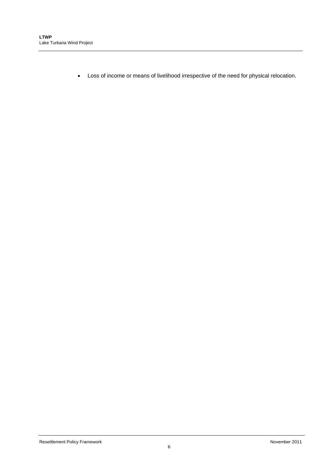Loss of income or means of livelihood irrespective of the need for physical relocation.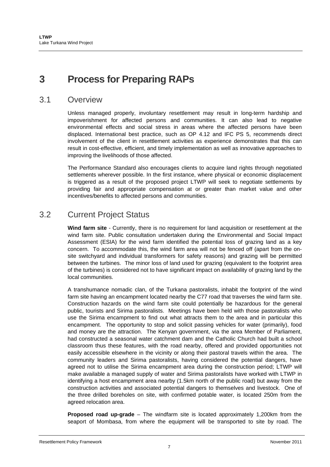# **3 Process for Preparing RAPs**

### 3.1 Overview

Unless managed properly, involuntary resettlement may result in long-term hardship and impoverishment for affected persons and communities. It can also lead to negative environmental effects and social stress in areas where the affected persons have been displaced. International best practice, such as OP 4.12 and IFC PS 5, recommends direct involvement of the client in resettlement activities as experience demonstrates that this can result in cost-effective, efficient, and timely implementation as well as innovative approaches to improving the livelihoods of those affected.

The Performance Standard also encourages clients to acquire land rights through negotiated settlements wherever possible. In the first instance, where physical or economic displacement is triggered as a result of the proposed project LTWP will seek to negotiate settlements by providing fair and appropriate compensation at or greater than market value and other incentives/benefits to affected persons and communities.

## 3.2 Current Project Status

**Wind farm site** - Currently, there is no requirement for land acquisition or resettlement at the wind farm site. Public consultation undertaken during the Environmental and Social Impact Assessment (ESIA) for the wind farm identified the potential loss of grazing land as a key concern. To accommodate this, the wind farm area will not be fenced off (apart from the onsite switchyard and individual transformers for safety reasons) and grazing will be permitted between the turbines. The minor loss of land used for grazing (equivalent to the footprint area of the turbines) is considered not to have significant impact on availability of grazing land by the local communities.

A transhumance nomadic clan, of the Turkana pastoralists, inhabit the footprint of the wind farm site having an encampment located nearby the C77 road that traverses the wind farm site. Construction hazards on the wind farm site could potentially be hazardous for the general public, tourists and Sirima pastoralists. Meetings have been held with those pastoralists who use the Sirima encampment to find out what attracts them to the area and in particular this encampment. The opportunity to stop and solicit passing vehicles for water (primarily), food and money are the attraction. The Kenyan government, via the area Member of Parliament, had constructed a seasonal water catchment dam and the Catholic Church had built a school classroom thus these features, with the road nearby, offered and provided opportunities not easily accessible elsewhere in the vicinity or along their pastoral travels within the area. The community leaders and Sirima pastoralists, having considered the potential dangers, have agreed not to utilise the Sirima encampment area during the construction period; LTWP will make available a managed supply of water and Sirima pastoralists have worked with LTWP in identifying a host encampment area nearby (1.5km north of the public road) but away from the construction activities and associated potential dangers to themselves and livestock. One of the three drilled boreholes on site, with confirmed potable water, is located 250m from the agreed relocation area.

**Proposed road up-grade** – The windfarm site is located approximately 1,200km from the seaport of Mombasa, from where the equipment will be transported to site by road. The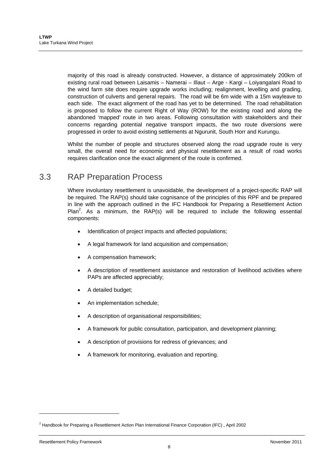majority of this road is already constructed. However, a distance of approximately 200km of existing rural road between Laisamis – Namerai – Illaut – Arge - Kargi – Loiyangalani Road to the wind farm site does require upgrade works including; realignment, levelling and grading, construction of culverts and general repairs. The road will be 6m wide with a 15m wayleave to each side. The exact alignment of the road has yet to be determined. The road rehabilitation is proposed to follow the current Right of Way (ROW) for the existing road and along the abandoned 'mapped' route in two areas. Following consultation with stakeholders and their concerns regarding potential negative transport impacts, the two route diversions were progressed in order to avoid existing settlements at Ngurunit, South Horr and Kurungu.

Whilst the number of people and structures observed along the road upgrade route is very small, the overall need for economic and physical resettlement as a result of road works requires clarification once the exact alignment of the route is confirmed.

## 3.3 RAP Preparation Process

Where involuntary resettlement is unavoidable, the development of a project-specific RAP will be required. The RAP(s) should take cognisance of the principles of this RPF and be prepared in line with the approach outlined in the IFC Handbook for Preparing a Resettlement Action Plan<sup>2</sup>. As a minimum, the RAP(s) will be required to include the following essential components:

- Identification of project impacts and affected populations;
- A legal framework for land acquisition and compensation;
- A compensation framework;
- A description of resettlement assistance and restoration of livelihood activities where PAPs are affected appreciably;
- A detailed budget;
- An implementation schedule;
- A description of organisational responsibilities;
- A framework for public consultation, participation, and development planning;
- A description of provisions for redress of grievances; and
- A framework for monitoring, evaluation and reporting.

l

<sup>&</sup>lt;sup>2</sup> Handbook for Preparing a Resettlement Action Plan International Finance Corporation (IFC), April 2002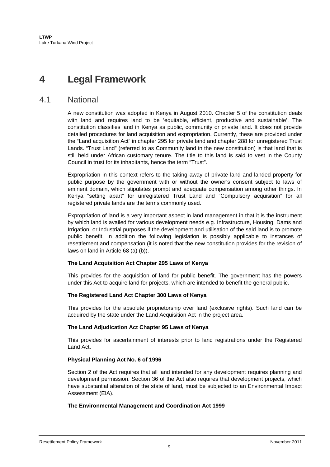## **4 Legal Framework**

### 4.1 National

A new constitution was adopted in Kenya in August 2010. Chapter 5 of the constitution deals with land and requires land to be 'equitable, efficient, productive and sustainable'. The constitution classifies land in Kenya as public, community or private land. It does not provide detailed procedures for land acquisition and expropriation. Currently, these are provided under the "Land acquisition Act" in chapter 295 for private land and chapter 288 for unregistered Trust Lands. "Trust Land" (referred to as Community land in the new constitution) is that land that is still held under African customary tenure. The title to this land is said to vest in the County Council in trust for its inhabitants, hence the term "Trust".

Expropriation in this context refers to the taking away of private land and landed property for public purpose by the government with or without the owner's consent subject to laws of eminent domain, which stipulates prompt and adequate compensation among other things. In Kenya "setting apart" for unregistered Trust Land and "Compulsory acquisition" for all registered private lands are the terms commonly used.

Expropriation of land is a very important aspect in land management in that it is the instrument by which land is availed for various development needs e.g. Infrastructure, Housing, Dams and Irrigation, or Industrial purposes if the development and utilisation of the said land is to promote public benefit. In addition the following legislation is possibly applicable to instances of resettlement and compensation (it is noted that the new constitution provides for the revision of laws on land in Article 68 (a) (b)).

#### **The Land Acquisition Act Chapter 295 Laws of Kenya**

This provides for the acquisition of land for public benefit. The government has the powers under this Act to acquire land for projects, which are intended to benefit the general public.

#### **The Registered Land Act Chapter 300 Laws of Kenya**

This provides for the absolute proprietorship over land (exclusive rights). Such land can be acquired by the state under the Land Acquisition Act in the project area.

#### **The Land Adjudication Act Chapter 95 Laws of Kenya**

This provides for ascertainment of interests prior to land registrations under the Registered Land Act.

#### **Physical Planning Act No. 6 of 1996**

Section 2 of the Act requires that all land intended for any development requires planning and development permission. Section 36 of the Act also requires that development projects, which have substantial alteration of the state of land, must be subjected to an Environmental Impact Assessment (EIA).

#### **The Environmental Management and Coordination Act 1999**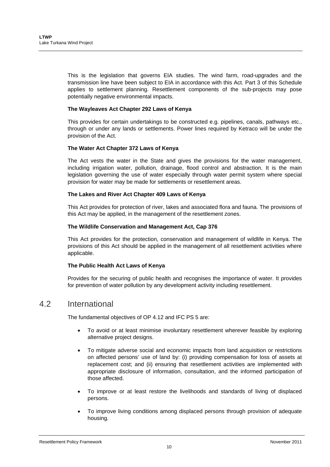This is the legislation that governs EIA studies. The wind farm, road-upgrades and the transmission line have been subject to EIA in accordance with this Act. Part 3 of this Schedule applies to settlement planning. Resettlement components of the sub-projects may pose potentially negative environmental impacts.

#### **The Wayleaves Act Chapter 292 Laws of Kenya**

This provides for certain undertakings to be constructed e.g. pipelines, canals, pathways etc., through or under any lands or settlements. Power lines required by Ketraco will be under the provision of the Act.

#### **The Water Act Chapter 372 Laws of Kenya**

The Act vests the water in the State and gives the provisions for the water management, including irrigation water, pollution, drainage, flood control and abstraction. It is the main legislation governing the use of water especially through water permit system where special provision for water may be made for settlements or resettlement areas.

#### **The Lakes and River Act Chapter 409 Laws of Kenya**

This Act provides for protection of river, lakes and associated flora and fauna. The provisions of this Act may be applied, in the management of the resettlement zones.

#### **The Wildlife Conservation and Management Act, Cap 376**

This Act provides for the protection, conservation and management of wildlife in Kenya. The provisions of this Act should be applied in the management of all resettlement activities where applicable.

#### **The Public Health Act Laws of Kenya**

Provides for the securing of public health and recognises the importance of water. It provides for prevention of water pollution by any development activity including resettlement.

### 4.2 International

The fundamental objectives of OP 4.12 and IFC PS 5 are:

- To avoid or at least minimise involuntary resettlement wherever feasible by exploring alternative project designs.
- To mitigate adverse social and economic impacts from land acquisition or restrictions on affected persons' use of land by: (i) providing compensation for loss of assets at replacement cost; and (ii) ensuring that resettlement activities are implemented with appropriate disclosure of information, consultation, and the informed participation of those affected.
- To improve or at least restore the livelihoods and standards of living of displaced persons.
- To improve living conditions among displaced persons through provision of adequate housing.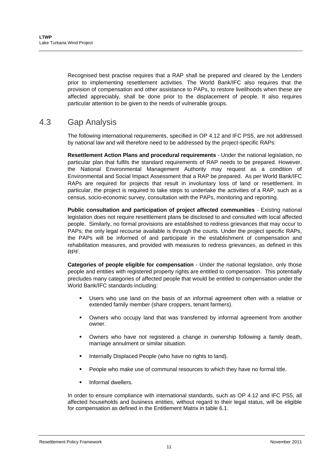Recognised best practise requires that a RAP shall be prepared and cleared by the Lenders prior to implementing resettlement activities. The World Bank/IFC also requires that the provision of compensation and other assistance to PAPs, to restore livelihoods when these are affected appreciably, shall be done prior to the displacement of people. It also requires particular attention to be given to the needs of vulnerable groups.

## 4.3 Gap Analysis

The following international requirements, specified in OP 4.12 and IFC PS5, are not addressed by national law and will therefore need to be addressed by the project-specific RAPs:

**Resettlement Action Plans and procedural requirements** - Under the national legislation, no particular plan that fulfils the standard requirements of RAP needs to be prepared. However, the National Environmental Management Authority may request as a condition of Environmental and Social Impact Assessment that a RAP be prepared. As per World Bank/IFC RAPs are required for projects that result in involuntary loss of land or resettlement. In particular, the project is required to take steps to undertake the activities of a RAP, such as a census, socio-economic survey, consultation with the PAPs, monitoring and reporting.

**Public consultation and participation of project affected communities** - Existing national legislation does not require resettlement plans be disclosed to and consulted with local affected people. Similarly, no formal provisions are established to redress grievances that may occur to PAPs; the only legal recourse available is through the courts. Under the project specific RAPs, the PAPs will be informed of and participate in the establishment of compensation and rehabilitation measures, and provided with measures to redress grievances, as defined in this RPF.

**Categories of people eligible for compensation** - Under the national legislation, only those people and entities with registered property rights are entitled to compensation. This potentially precludes many categories of affected people that would be entitled to compensation under the World Bank/IFC standards including:

- Users who use land on the basis of an informal agreement often with a relative or extended family member (share croppers, tenant farmers).
- Owners who occupy land that was transferred by informal agreement from another owner.
- Owners who have not registered a change in ownership following a family death, marriage annulment or similar situation.
- Internally Displaced People (who have no rights to land).
- People who make use of communal resources to which they have no formal title.
- Informal dwellers.

In order to ensure compliance with international standards, such as OP 4.12 and IFC PS5, all affected households and business entities, without regard to their legal status, will be eligible for compensation as defined in the Entitlement Matrix in table 6.1.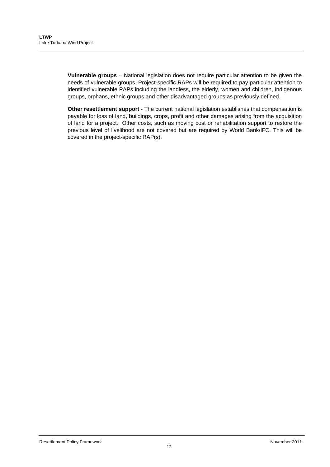**Vulnerable groups** – National legislation does not require particular attention to be given the needs of vulnerable groups. Project-specific RAPs will be required to pay particular attention to identified vulnerable PAPs including the landless, the elderly, women and children, indigenous groups, orphans, ethnic groups and other disadvantaged groups as previously defined.

**Other resettlement support** - The current national legislation establishes that compensation is payable for loss of land, buildings, crops, profit and other damages arising from the acquisition of land for a project. Other costs, such as moving cost or rehabilitation support to restore the previous level of livelihood are not covered but are required by World Bank/IFC. This will be covered in the project-specific RAP(s).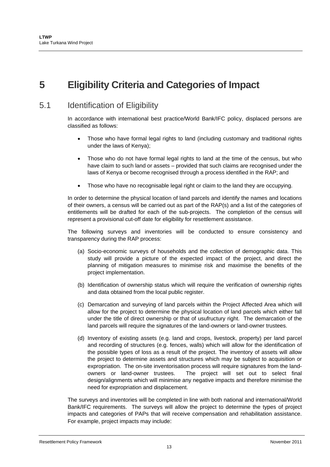# **5 Eligibility Criteria and Categories of Impact**

## 5.1 Identification of Eligibility

In accordance with international best practice/World Bank/IFC policy, displaced persons are classified as follows:

- Those who have formal legal rights to land (including customary and traditional rights under the laws of Kenya);
- Those who do not have formal legal rights to land at the time of the census, but who have claim to such land or assets – provided that such claims are recognised under the laws of Kenya or become recognised through a process identified in the RAP; and
- Those who have no recognisable legal right or claim to the land they are occupying.

In order to determine the physical location of land parcels and identify the names and locations of their owners, a census will be carried out as part of the RAP(s) and a list of the categories of entitlements will be drafted for each of the sub-projects. The completion of the census will represent a provisional cut-off date for eligibility for resettlement assistance.

The following surveys and inventories will be conducted to ensure consistency and transparency during the RAP process:

- (a) Socio-economic surveys of households and the collection of demographic data. This study will provide a picture of the expected impact of the project, and direct the planning of mitigation measures to minimise risk and maximise the benefits of the project implementation.
- (b) Identification of ownership status which will require the verification of ownership rights and data obtained from the local public register.
- (c) Demarcation and surveying of land parcels within the Project Affected Area which will allow for the project to determine the physical location of land parcels which either fall under the title of direct ownership or that of usufructury right. The demarcation of the land parcels will require the signatures of the land-owners or land-owner trustees.
- (d) Inventory of existing assets (e.g. land and crops, livestock, property) per land parcel and recording of structures (e.g. fences, walls) which will allow for the identification of the possible types of loss as a result of the project. The inventory of assets will allow the project to determine assets and structures which may be subject to acquisition or expropriation. The on-site inventorisation process will require signatures from the landowners or land-owner trustees. The project will set out to select final design/alignments which will minimise any negative impacts and therefore minimise the need for expropriation and displacement.

The surveys and inventories will be completed in line with both national and international/World Bank/IFC requirements. The surveys will allow the project to determine the types of project impacts and categories of PAPs that will receive compensation and rehabilitation assistance. For example, project impacts may include: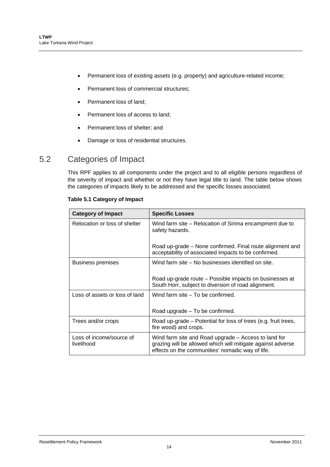- Permanent loss of existing assets (e.g. property) and agriculture-related income;
- Permanent loss of commercial structures;
- Permanent loss of land:
- Permanent loss of access to land;
- Permanent loss of shelter; and
- Damage or loss of residential structures.

### 5.2 Categories of Impact

This RPF applies to all components under the project and to all eligible persons regardless of the severity of impact and whether or not they have legal title to land. The table below shows the categories of impacts likely to be addressed and the specific losses associated.

| <b>Category of Impact</b>              | <b>Specific Losses</b>                                                                                                                                                  |  |  |
|----------------------------------------|-------------------------------------------------------------------------------------------------------------------------------------------------------------------------|--|--|
| Relocation or loss of shelter          | Wind farm site – Relocation of Sirima encampment due to<br>safety hazards.                                                                                              |  |  |
|                                        | Road up-grade – None confirmed. Final route alignment and<br>acceptability of associated impacts to be confirmed.                                                       |  |  |
| Business premises                      | Wind farm site – No businesses identified on site.                                                                                                                      |  |  |
|                                        | Road up-grade route - Possible impacts on businesses at<br>South Horr, subject to diversion of road alignment.                                                          |  |  |
| Loss of assets or loss of land         | Wind farm site – To be confirmed.                                                                                                                                       |  |  |
|                                        | Road upgrade – To be confirmed.                                                                                                                                         |  |  |
| Trees and/or crops                     | Road up-grade – Potential for loss of trees (e.g. fruit trees,<br>fire wood) and crops.                                                                                 |  |  |
| Loss of income/source of<br>livelihood | Wind farm site and Road upgrade - Access to land for<br>grazing will be allowed which will mitigate against adverse<br>effects on the communities' nomadic way of life. |  |  |

#### **Table 5.1 Category of Impact**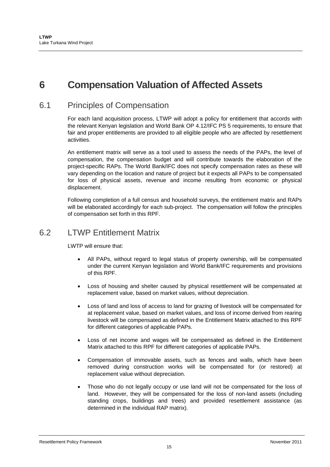# **6 Compensation Valuation of Affected Assets**

## 6.1 Principles of Compensation

For each land acquisition process, LTWP will adopt a policy for entitlement that accords with the relevant Kenyan legislation and World Bank OP 4.12/IFC PS 5 requirements, to ensure that fair and proper entitlements are provided to all eligible people who are affected by resettlement activities.

An entitlement matrix will serve as a tool used to assess the needs of the PAPs, the level of compensation, the compensation budget and will contribute towards the elaboration of the project-specific RAPs. The World Bank/IFC does not specify compensation rates as these will vary depending on the location and nature of project but it expects all PAPs to be compensated for loss of physical assets, revenue and income resulting from economic or physical displacement.

Following completion of a full census and household surveys, the entitlement matrix and RAPs will be elaborated accordingly for each sub-project. The compensation will follow the principles of compensation set forth in this RPF.

### 6.2 LTWP Entitlement Matrix

LWTP will ensure that:

- All PAPs, without regard to legal status of property ownership, will be compensated under the current Kenyan legislation and World Bank/IFC requirements and provisions of this RPF.
- Loss of housing and shelter caused by physical resettlement will be compensated at replacement value, based on market values, without depreciation.
- Loss of land and loss of access to land for grazing of livestock will be compensated for at replacement value, based on market values, and loss of income derived from rearing livestock will be compensated as defined in the Entitlement Matrix attached to this RPF for different categories of applicable PAPs.
- Loss of net income and wages will be compensated as defined in the Entitlement Matrix attached to this RPF for different categories of applicable PAPs.
- Compensation of immovable assets, such as fences and walls, which have been removed during construction works will be compensated for (or restored) at replacement value without depreciation.
- Those who do not legally occupy or use land will not be compensated for the loss of land. However, they will be compensated for the loss of non-land assets (including standing crops, buildings and trees) and provided resettlement assistance (as determined in the individual RAP matrix).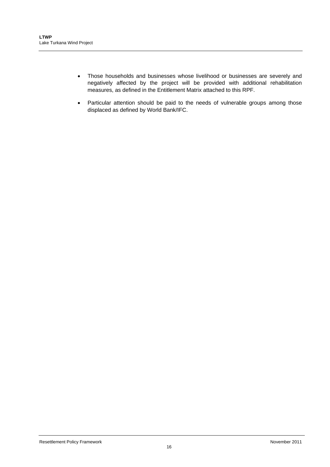- Those households and businesses whose livelihood or businesses are severely and negatively affected by the project will be provided with additional rehabilitation measures, as defined in the Entitlement Matrix attached to this RPF.
- Particular attention should be paid to the needs of vulnerable groups among those displaced as defined by World Bank/IFC.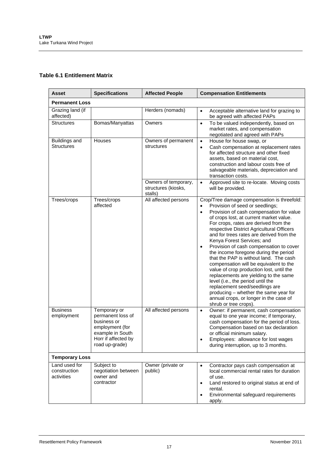#### **Table 6.1 Entitlement Matrix**

| <b>Asset</b>                                | <b>Specifications</b>                                                                                                            | <b>Affected People</b>                                 | <b>Compensation Entitlements</b>                                                                                                                                                                                                                                                                                                                                                                                                                                                                                                                                                                                                                                                                                                                                                                                             |  |  |
|---------------------------------------------|----------------------------------------------------------------------------------------------------------------------------------|--------------------------------------------------------|------------------------------------------------------------------------------------------------------------------------------------------------------------------------------------------------------------------------------------------------------------------------------------------------------------------------------------------------------------------------------------------------------------------------------------------------------------------------------------------------------------------------------------------------------------------------------------------------------------------------------------------------------------------------------------------------------------------------------------------------------------------------------------------------------------------------------|--|--|
| <b>Permanent Loss</b>                       |                                                                                                                                  |                                                        |                                                                                                                                                                                                                                                                                                                                                                                                                                                                                                                                                                                                                                                                                                                                                                                                                              |  |  |
| Grazing land (if<br>affected)               |                                                                                                                                  | Herders (nomads)                                       | Acceptable alternative land for grazing to<br>$\bullet$<br>be agreed with affected PAPs                                                                                                                                                                                                                                                                                                                                                                                                                                                                                                                                                                                                                                                                                                                                      |  |  |
| <b>Structures</b>                           | Bomas/Manyattas                                                                                                                  | Owners                                                 | To be valued independently, based on<br>$\bullet$<br>market rates, and compensation<br>negotiated and agreed with PAPs                                                                                                                                                                                                                                                                                                                                                                                                                                                                                                                                                                                                                                                                                                       |  |  |
| Buildings and<br><b>Structures</b>          | Houses                                                                                                                           | Owners of permanent<br>structures                      | House for house swap, or<br>$\bullet$<br>Cash compensation at replacement rates<br>$\bullet$<br>for affected structure and other fixed<br>assets, based on material cost,<br>construction and labour costs free of<br>salvageable materials, depreciation and<br>transaction costs.                                                                                                                                                                                                                                                                                                                                                                                                                                                                                                                                          |  |  |
|                                             |                                                                                                                                  | Owners of temporary,<br>structures (kiosks,<br>stalls) | Approved site to re-locate. Moving costs<br>$\bullet$<br>will be provided.                                                                                                                                                                                                                                                                                                                                                                                                                                                                                                                                                                                                                                                                                                                                                   |  |  |
| Trees/crops                                 | Trees/crops<br>affected                                                                                                          | All affected persons                                   | Crop/Tree damage compensation is threefold:<br>Provision of seed or seedlings;<br>$\bullet$<br>Provision of cash compensation for value<br>$\bullet$<br>of crops lost, at current market value.<br>For crops, rates are derived from the<br>respective District Agricultural Officers<br>and for trees rates are derived from the<br>Kenya Forest Services; and<br>Provision of cash compensation to cover<br>$\bullet$<br>the income foregone during the period<br>that the PAP is without land. The cash<br>compensation will be equivalent to the<br>value of crop production lost, until the<br>replacements are yielding to the same<br>level (i.e., the period until the<br>replacement seed/seedlings are<br>producing - whether the same year for<br>annual crops, or longer in the case of<br>shrub or tree crops). |  |  |
| <b>Business</b><br>employment               | Temporary or<br>permanent loss of<br>business or<br>employment (for<br>example in South<br>Horr if affected by<br>road up-grade) | All affected persons                                   | Owner: if permanent, cash compensation<br>$\bullet$<br>equal to one year income; if temporary,<br>cash compensation for the period of loss.<br>Compensation based on tax declaration<br>or official minimum salary.<br>Employees: allowance for lost wages<br>during interruption, up to 3 months.                                                                                                                                                                                                                                                                                                                                                                                                                                                                                                                           |  |  |
| <b>Temporary Loss</b>                       |                                                                                                                                  |                                                        |                                                                                                                                                                                                                                                                                                                                                                                                                                                                                                                                                                                                                                                                                                                                                                                                                              |  |  |
| Land used for<br>construction<br>activities | Subject to<br>negotiation between<br>owner and<br>contractor                                                                     | Owner (private or<br>public)                           | Contractor pays cash compensation at<br>$\bullet$<br>local commercial rental rates for duration<br>of use.<br>Land restored to original status at end of<br>$\bullet$<br>rental.<br>Environmental safeguard requirements<br>$\bullet$<br>apply.                                                                                                                                                                                                                                                                                                                                                                                                                                                                                                                                                                              |  |  |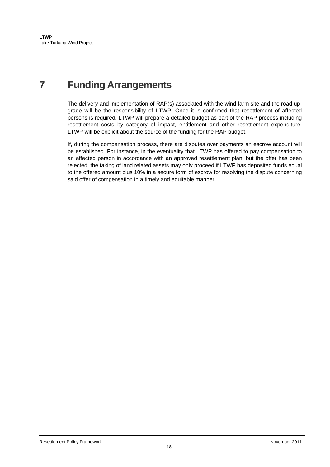# **7 Funding Arrangements**

The delivery and implementation of RAP(s) associated with the wind farm site and the road upgrade will be the responsibility of LTWP. Once it is confirmed that resettlement of affected persons is required, LTWP will prepare a detailed budget as part of the RAP process including resettlement costs by category of impact, entitlement and other resettlement expenditure. LTWP will be explicit about the source of the funding for the RAP budget.

If, during the compensation process, there are disputes over payments an escrow account will be established. For instance, in the eventuality that LTWP has offered to pay compensation to an affected person in accordance with an approved resettlement plan, but the offer has been rejected, the taking of land related assets may only proceed if LTWP has deposited funds equal to the offered amount plus 10% in a secure form of escrow for resolving the dispute concerning said offer of compensation in a timely and equitable manner.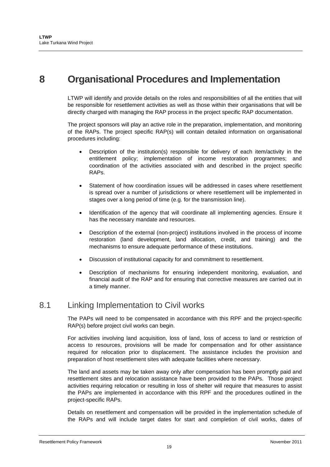## **8 Organisational Procedures and Implementation**

LTWP will identify and provide details on the roles and responsibilities of all the entities that will be responsible for resettlement activities as well as those within their organisations that will be directly charged with managing the RAP process in the project specific RAP documentation.

The project sponsors will play an active role in the preparation, implementation, and monitoring of the RAPs. The project specific RAP(s) will contain detailed information on organisational procedures including:

- Description of the institution(s) responsible for delivery of each item/activity in the entitlement policy; implementation of income restoration programmes; and coordination of the activities associated with and described in the project specific RAPs.
- Statement of how coordination issues will be addressed in cases where resettlement is spread over a number of jurisdictions or where resettlement will be implemented in stages over a long period of time (e.g. for the transmission line).
- Identification of the agency that will coordinate all implementing agencies. Ensure it has the necessary mandate and resources.
- Description of the external (non-project) institutions involved in the process of income restoration (land development, land allocation, credit, and training) and the mechanisms to ensure adequate performance of these institutions.
- Discussion of institutional capacity for and commitment to resettlement.
- Description of mechanisms for ensuring independent monitoring, evaluation, and financial audit of the RAP and for ensuring that corrective measures are carried out in a timely manner.

### 8.1 Linking Implementation to Civil works

The PAPs will need to be compensated in accordance with this RPF and the project-specific RAP(s) before project civil works can begin.

For activities involving land acquisition, loss of land, loss of access to land or restriction of access to resources, provisions will be made for compensation and for other assistance required for relocation prior to displacement. The assistance includes the provision and preparation of host resettlement sites with adequate facilities where necessary.

The land and assets may be taken away only after compensation has been promptly paid and resettlement sites and relocation assistance have been provided to the PAPs. Those project activities requiring relocation or resulting in loss of shelter will require that measures to assist the PAPs are implemented in accordance with this RPF and the procedures outlined in the project-specific RAPs.

Details on resettlement and compensation will be provided in the implementation schedule of the RAPs and will include target dates for start and completion of civil works, dates of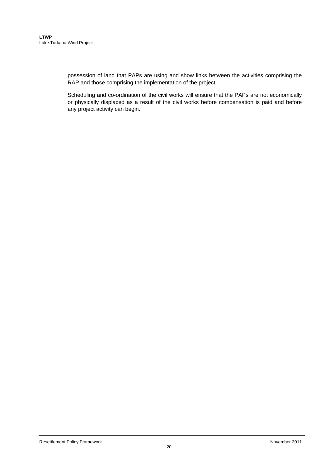possession of land that PAPs are using and show links between the activities comprising the RAP and those comprising the implementation of the project.

Scheduling and co-ordination of the civil works will ensure that the PAPs are not economically or physically displaced as a result of the civil works before compensation is paid and before any project activity can begin.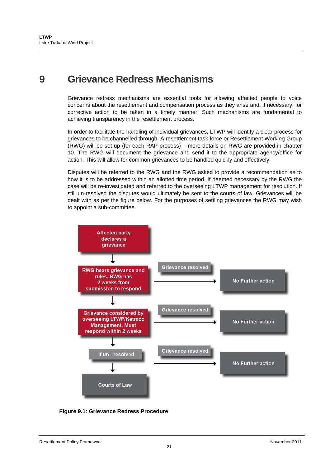## **9 Grievance Redress Mechanisms**

Grievance redress mechanisms are essential tools for allowing affected people to voice concerns about the resettlement and compensation process as they arise and, if necessary, for corrective action to be taken in a timely manner. Such mechanisms are fundamental to achieving transparency in the resettlement process.

In order to facilitate the handling of individual grievances, LTWP will identify a clear process for grievances to be channelled through. A resettlement task force or Resettlement Working Group (RWG) will be set up (for each RAP process) – more details on RWG are provided in chapter 10. The RWG will document the grievance and send it to the appropriate agency/office for action. This will allow for common grievances to be handled quickly and effectively.

Disputes will be referred to the RWG and the RWG asked to provide a recommendation as to how it is to be addressed within an allotted time period. If deemed necessary by the RWG the case will be re-investigated and referred to the overseeing LTWP management for resolution. If still un-resolved the disputes would ultimately be sent to the courts of law. Grievances will be dealt with as per the figure below. For the purposes of settling grievances the RWG may wish to appoint a sub-committee.



**Figure 9.1: Grievance Redress Procedure**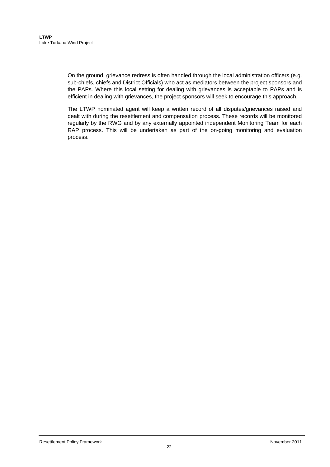On the ground, grievance redress is often handled through the local administration officers (e.g. sub-chiefs, chiefs and District Officials) who act as mediators between the project sponsors and the PAPs. Where this local setting for dealing with grievances is acceptable to PAPs and is efficient in dealing with grievances, the project sponsors will seek to encourage this approach.

The LTWP nominated agent will keep a written record of all disputes/grievances raised and dealt with during the resettlement and compensation process. These records will be monitored regularly by the RWG and by any externally appointed independent Monitoring Team for each RAP process. This will be undertaken as part of the on-going monitoring and evaluation process.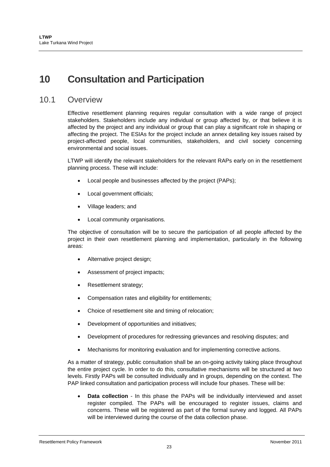# **10 Consultation and Participation**

### 10.1 Overview

Effective resettlement planning requires regular consultation with a wide range of project stakeholders. Stakeholders include any individual or group affected by, or that believe it is affected by the project and any individual or group that can play a significant role in shaping or affecting the project. The ESIAs for the project include an annex detailing key issues raised by project-affected people, local communities, stakeholders, and civil society concerning environmental and social issues.

LTWP will identify the relevant stakeholders for the relevant RAPs early on in the resettlement planning process. These will include:

- Local people and businesses affected by the project (PAPs);
- Local government officials;
- Village leaders; and
- Local community organisations.

The objective of consultation will be to secure the participation of all people affected by the project in their own resettlement planning and implementation, particularly in the following areas:

- Alternative project design;
- Assessment of project impacts;
- Resettlement strategy;
- Compensation rates and eligibility for entitlements;
- Choice of resettlement site and timing of relocation;
- Development of opportunities and initiatives;
- Development of procedures for redressing grievances and resolving disputes; and
- Mechanisms for monitoring evaluation and for implementing corrective actions.

As a matter of strategy, public consultation shall be an on-going activity taking place throughout the entire project cycle. In order to do this, consultative mechanisms will be structured at two levels. Firstly PAPs will be consulted individually and in groups, depending on the context. The PAP linked consultation and participation process will include four phases. These will be:

 **Data collection** - In this phase the PAPs will be individually interviewed and asset register compiled. The PAPs will be encouraged to register issues, claims and concerns. These will be registered as part of the formal survey and logged. All PAPs will be interviewed during the course of the data collection phase.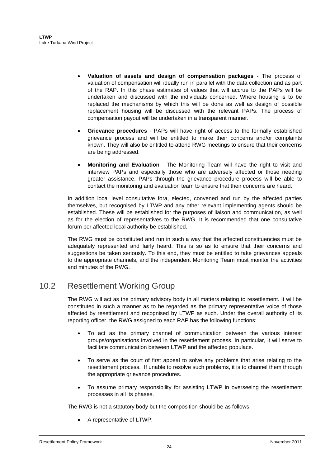- **Valuation of assets and design of compensation packages** The process of valuation of compensation will ideally run in parallel with the data collection and as part of the RAP. In this phase estimates of values that will accrue to the PAPs will be undertaken and discussed with the individuals concerned. Where housing is to be replaced the mechanisms by which this will be done as well as design of possible replacement housing will be discussed with the relevant PAPs. The process of compensation payout will be undertaken in a transparent manner.
- **Grievance procedures** PAPs will have right of access to the formally established grievance process and will be entitled to make their concerns and/or complaints known. They will also be entitled to attend RWG meetings to ensure that their concerns are being addressed.
- **Monitoring and Evaluation** The Monitoring Team will have the right to visit and interview PAPs and especially those who are adversely affected or those needing greater assistance. PAPs through the grievance procedure process will be able to contact the monitoring and evaluation team to ensure that their concerns are heard.

In addition local level consultative fora, elected, convened and run by the affected parties themselves, but recognised by LTWP and any other relevant implementing agents should be established. These will be established for the purposes of liaison and communication, as well as for the election of representatives to the RWG. It is recommended that one consultative forum per affected local authority be established.

The RWG must be constituted and run in such a way that the affected constituencies must be adequately represented and fairly heard. This is so as to ensure that their concerns and suggestions be taken seriously. To this end, they must be entitled to take grievances appeals to the appropriate channels, and the independent Monitoring Team must monitor the activities and minutes of the RWG.

## 10.2 Resettlement Working Group

The RWG will act as the primary advisory body in all matters relating to resettlement. It will be constituted in such a manner as to be regarded as the primary representative voice of those affected by resettlement and recognised by LTWP as such. Under the overall authority of its reporting officer, the RWG assigned to each RAP has the following functions:

- To act as the primary channel of communication between the various interest groups/organisations involved in the resettlement process. In particular, it will serve to facilitate communication between LTWP and the affected populace.
- To serve as the court of first appeal to solve any problems that arise relating to the resettlement process. If unable to resolve such problems, it is to channel them through the appropriate grievance procedures.
- To assume primary responsibility for assisting LTWP in overseeing the resettlement processes in all its phases.

The RWG is not a statutory body but the composition should be as follows:

A representative of LTWP;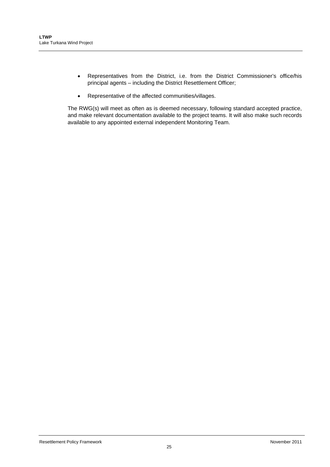- Representatives from the District, i.e. from the District Commissioner's office/his principal agents – including the District Resettlement Officer;
- Representative of the affected communities/villages.

The RWG(s) will meet as often as is deemed necessary, following standard accepted practice, and make relevant documentation available to the project teams. It will also make such records available to any appointed external independent Monitoring Team.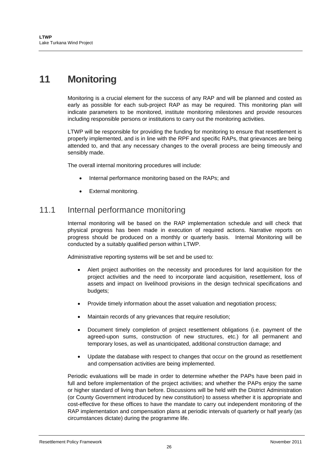# **11 Monitoring**

Monitoring is a crucial element for the success of any RAP and will be planned and costed as early as possible for each sub-project RAP as may be required. This monitoring plan will indicate parameters to be monitored, institute monitoring milestones and provide resources including responsible persons or institutions to carry out the monitoring activities.

LTWP will be responsible for providing the funding for monitoring to ensure that resettlement is properly implemented, and is in line with the RPF and specific RAPs, that grievances are being attended to, and that any necessary changes to the overall process are being timeously and sensibly made.

The overall internal monitoring procedures will include:

- Internal performance monitoring based on the RAPs; and
- External monitoring.

### 11.1 Internal performance monitoring

Internal monitoring will be based on the RAP implementation schedule and will check that physical progress has been made in execution of required actions. Narrative reports on progress should be produced on a monthly or quarterly basis. Internal Monitoring will be conducted by a suitably qualified person within LTWP.

Administrative reporting systems will be set and be used to:

- Alert project authorities on the necessity and procedures for land acquisition for the project activities and the need to incorporate land acquisition, resettlement, loss of assets and impact on livelihood provisions in the design technical specifications and budgets;
- Provide timely information about the asset valuation and negotiation process;
- Maintain records of any grievances that require resolution;
- Document timely completion of project resettlement obligations (i.e. payment of the agreed-upon sums, construction of new structures, etc.) for all permanent and temporary loses, as well as unanticipated, additional construction damage; and
- Update the database with respect to changes that occur on the ground as resettlement and compensation activities are being implemented.

Periodic evaluations will be made in order to determine whether the PAPs have been paid in full and before implementation of the project activities; and whether the PAPs enjoy the same or higher standard of living than before. Discussions will be held with the District Administration (or County Government introduced by new constitution) to assess whether it is appropriate and cost-effective for these offices to have the mandate to carry out independent monitoring of the RAP implementation and compensation plans at periodic intervals of quarterly or half yearly (as circumstances dictate) during the programme life.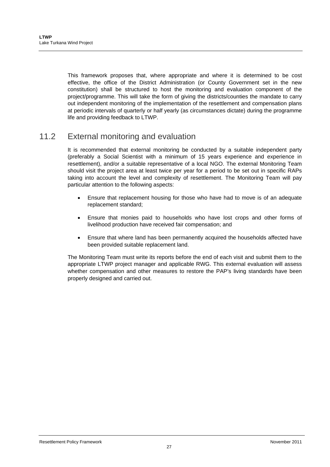This framework proposes that, where appropriate and where it is determined to be cost effective, the office of the District Administration (or County Government set in the new constitution) shall be structured to host the monitoring and evaluation component of the project/programme. This will take the form of giving the districts/counties the mandate to carry out independent monitoring of the implementation of the resettlement and compensation plans at periodic intervals of quarterly or half yearly (as circumstances dictate) during the programme life and providing feedback to LTWP.

## 11.2 External monitoring and evaluation

It is recommended that external monitoring be conducted by a suitable independent party (preferably a Social Scientist with a minimum of 15 years experience and experience in resettlement), and/or a suitable representative of a local NGO. The external Monitoring Team should visit the project area at least twice per year for a period to be set out in specific RAPs taking into account the level and complexity of resettlement. The Monitoring Team will pay particular attention to the following aspects:

- Ensure that replacement housing for those who have had to move is of an adequate replacement standard;
- Ensure that monies paid to households who have lost crops and other forms of livelihood production have received fair compensation; and
- Ensure that where land has been permanently acquired the households affected have been provided suitable replacement land.

The Monitoring Team must write its reports before the end of each visit and submit them to the appropriate LTWP project manager and applicable RWG. This external evaluation will assess whether compensation and other measures to restore the PAP's living standards have been properly designed and carried out.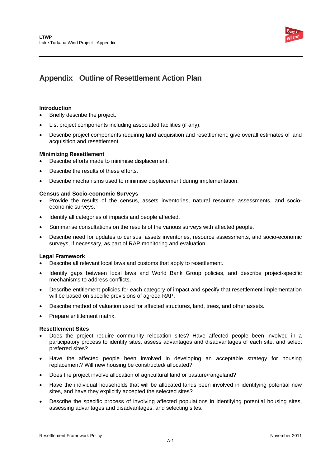

## **Appendix Outline of Resettlement Action Plan**

#### **Introduction**

- Briefly describe the project.
- List project components including associated facilities (if any).
- Describe project components requiring land acquisition and resettlement; give overall estimates of land acquisition and resettlement.

#### **Minimizing Resettlement**

- Describe efforts made to minimise displacement.
- Describe the results of these efforts.
- Describe mechanisms used to minimise displacement during implementation.

#### **Census and Socio-economic Surveys**

- Provide the results of the census, assets inventories, natural resource assessments, and socioeconomic surveys.
- Identify all categories of impacts and people affected.
- Summarise consultations on the results of the various surveys with affected people.
- Describe need for updates to census, assets inventories, resource assessments, and socio-economic surveys, if necessary, as part of RAP monitoring and evaluation.

#### **Legal Framework**

- Describe all relevant local laws and customs that apply to resettlement.
- Identify gaps between local laws and World Bank Group policies, and describe project-specific mechanisms to address conflicts.
- Describe entitlement policies for each category of impact and specify that resettlement implementation will be based on specific provisions of agreed RAP.
- Describe method of valuation used for affected structures, land, trees, and other assets.
- Prepare entitlement matrix.

#### **Resettlement Sites**

- Does the project require community relocation sites? Have affected people been involved in a participatory process to identify sites, assess advantages and disadvantages of each site, and select preferred sites?
- Have the affected people been involved in developing an acceptable strategy for housing replacement? Will new housing be constructed/ allocated?
- Does the project involve allocation of agricultural land or pasture/rangeland?
- Have the individual households that will be allocated lands been involved in identifying potential new sites, and have they explicitly accepted the selected sites?
- Describe the specific process of involving affected populations in identifying potential housing sites, assessing advantages and disadvantages, and selecting sites.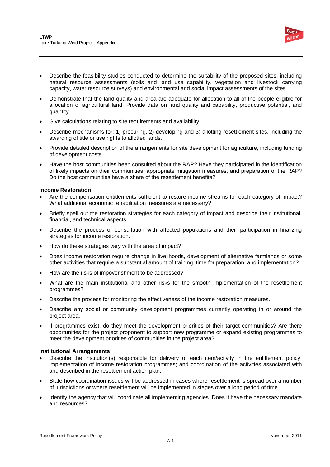

- Describe the feasibility studies conducted to determine the suitability of the proposed sites, including natural resource assessments (soils and land use capability, vegetation and livestock carrying capacity, water resource surveys) and environmental and social impact assessments of the sites.
- Demonstrate that the land quality and area are adequate for allocation to all of the people eligible for allocation of agricultural land. Provide data on land quality and capability, productive potential, and quantity.
- Give calculations relating to site requirements and availability.
- Describe mechanisms for: 1) procuring, 2) developing and 3) allotting resettlement sites, including the awarding of title or use rights to allotted lands.
- Provide detailed description of the arrangements for site development for agriculture, including funding of development costs.
- Have the host communities been consulted about the RAP? Have they participated in the identification of likely impacts on their communities, appropriate mitigation measures, and preparation of the RAP? Do the host communities have a share of the resettlement benefits?

#### **Income Restoration**

- Are the compensation entitlements sufficient to restore income streams for each category of impact? What additional economic rehabilitation measures are necessary?
- Briefly spell out the restoration strategies for each category of impact and describe their institutional, financial, and technical aspects.
- Describe the process of consultation with affected populations and their participation in finalizing strategies for income restoration.
- How do these strategies vary with the area of impact?
- Does income restoration require change in livelihoods, development of alternative farmlands or some other activities that require a substantial amount of training, time for preparation, and implementation?
- How are the risks of impoverishment to be addressed?
- What are the main institutional and other risks for the smooth implementation of the resettlement programmes?
- Describe the process for monitoring the effectiveness of the income restoration measures.
- Describe any social or community development programmes currently operating in or around the project area.
- If programmes exist, do they meet the development priorities of their target communities? Are there opportunities for the project proponent to support new programme or expand existing programmes to meet the development priorities of communities in the project area?

#### **Institutional Arrangements**

- Describe the institution(s) responsible for delivery of each item/activity in the entitlement policy; implementation of income restoration programmes; and coordination of the activities associated with and described in the resettlement action plan.
- State how coordination issues will be addressed in cases where resettlement is spread over a number of jurisdictions or where resettlement will be implemented in stages over a long period of time.
- Identify the agency that will coordinate all implementing agencies. Does it have the necessary mandate and resources?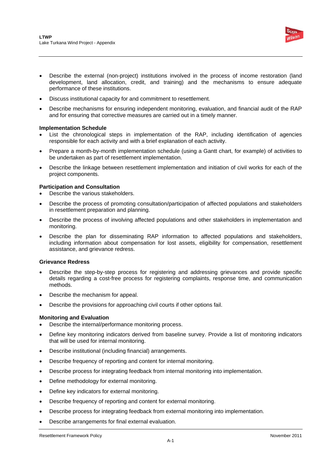

- Describe the external (non-project) institutions involved in the process of income restoration (land development, land allocation, credit, and training) and the mechanisms to ensure adequate performance of these institutions.
- Discuss institutional capacity for and commitment to resettlement.
- Describe mechanisms for ensuring independent monitoring, evaluation, and financial audit of the RAP and for ensuring that corrective measures are carried out in a timely manner.

#### **Implementation Schedule**

- List the chronological steps in implementation of the RAP, including identification of agencies responsible for each activity and with a brief explanation of each activity.
- Prepare a month-by-month implementation schedule (using a Gantt chart, for example) of activities to be undertaken as part of resettlement implementation.
- Describe the linkage between resettlement implementation and initiation of civil works for each of the project components.

#### **Participation and Consultation**

- Describe the various stakeholders.
- Describe the process of promoting consultation/participation of affected populations and stakeholders in resettlement preparation and planning.
- Describe the process of involving affected populations and other stakeholders in implementation and monitoring.
- Describe the plan for disseminating RAP information to affected populations and stakeholders, including information about compensation for lost assets, eligibility for compensation, resettlement assistance, and grievance redress.

#### **Grievance Redress**

- Describe the step-by-step process for registering and addressing grievances and provide specific details regarding a cost-free process for registering complaints, response time, and communication methods.
- Describe the mechanism for appeal.
- Describe the provisions for approaching civil courts if other options fail.

#### **Monitoring and Evaluation**

- Describe the internal/performance monitoring process.
- Define key monitoring indicators derived from baseline survey. Provide a list of monitoring indicators that will be used for internal monitoring.
- Describe institutional (including financial) arrangements.
- Describe frequency of reporting and content for internal monitoring.
- Describe process for integrating feedback from internal monitoring into implementation.
- Define methodology for external monitoring.
- Define key indicators for external monitoring.
- Describe frequency of reporting and content for external monitoring.
- Describe process for integrating feedback from external monitoring into implementation.
- Describe arrangements for final external evaluation.